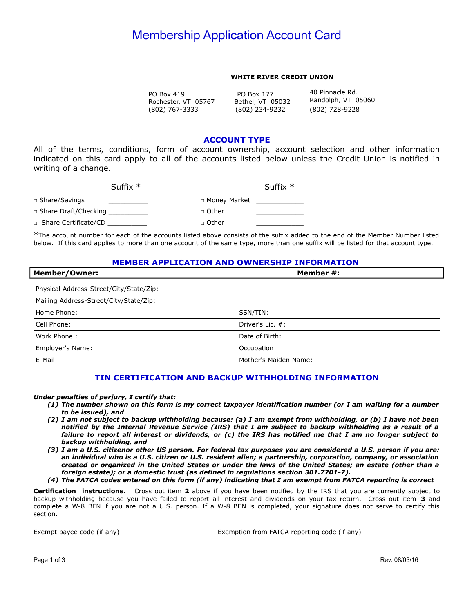# **Membership Application Account Card**

#### **WHITE RIVER CREDIT UNION**

(802) 767-3333 PO Box 4 9 PO Box 77 40 Pinnacle Rd. Rochester, VT 05767 Bethel, VT 05032 Randolph, VT 05<br>(802) 767-3333 (802) 234-9232 (802) 728-9228

(802) 234-9232

40 Pinnacle Rd. Randolph, VT 05060

## **ACCOUNT TYPE**

 All of the terms, conditions, form of account ownership, account selection and other information indicated on this card apply to all of the accounts listed below unless the Credit Union is notified in writing of a change.

| Suffix $*$             | Suffix $*$     |
|------------------------|----------------|
| □ Share/Savings        | □ Money Market |
| □ Share Draft/Checking | □ Other        |
| □ Share Certificate/CD | □ Other        |

 \*The account number for each of the accounts listed above consists of the suffix added to the end of the Member Number listed below. If this card applies to more than one account of the same type, more than one suffix will be listed for that account type.

## **MEMBER APPLICATION AND OWNERSHIP INFORMATION**

| <b>Member/Owner:</b>                    | Member #:             |
|-----------------------------------------|-----------------------|
| Physical Address-Street/City/State/Zip: |                       |
| Mailing Address-Street/City/State/Zip:  |                       |
| Home Phone:                             | SSN/TIN:              |
| Cell Phone:                             | Driver's Lic. #:      |
| Work Phone:                             | Date of Birth:        |
| Employer's Name:                        | Occupation:           |
| E-Mail:                                 | Mother's Maiden Name: |

### **TIN CERTIFICATION AND BACKUP WITHHOLDING INFORMATION**

#### *Under enalties of erjury, I certify that:*

- (1) The number shown on this form is my correct taxpayer identification number (or I am waiting for a number  *to be issued), and*
- (2) I am not subject to backup withholding because: (a) I am exempt from withholding, or (b) I have not been notified by the Internal Revenue Service (IRS) that I am subject to backup withholding as a result of a failure to report all interest or dividends, or (c) the IRS has notified me that I am no longer subject to **backup withholding, and**
- *(3) I am a U.S. citizenor other US erson. For federal tax ur oses you are considered a U.S. erson if you are:*  an individual who is a U.S. citizen or U.S. resident alien; a partnership, corporation, company, or association  *created or organized in the United States or under the laws of the United States; an estate (other than a foreign estate); or a domestic trust (as defined in regulations section 301.7701-7).*
- (4) The FATCA codes entered on this form (if any) indicating that I am exempt from FATCA reporting is correct

 **Certification instructions.** Cross out item **2** above if you have been notified by the IRS that you are currently subject to backup withholding because you have failed to report all interest and dividends on your tax return. Cross out item **3** and complete a W-8 BEN if you are not a U.S. person. If a W-8 BEN is completed, your signature does not serve to certify this section.

Exempt payee code (if any)\_\_\_\_\_\_ Exemption from FATCA reporting code (if any)\_\_\_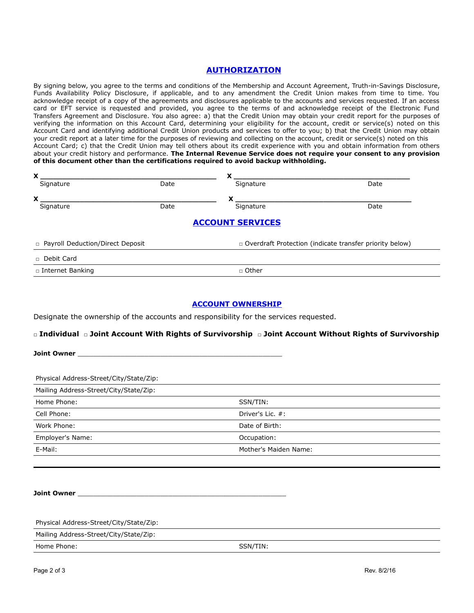# **AUTHORIZATION**

 By signing below, you agree to the terms and conditions of the Membership and Account Agreement, Truth-in-Savings Disclosure, Funds Availability Policy Disclosure, if applicable, and to any amendment the Credit Union makes from time to time. You acknowledge receipt of a copy of the agreements and disclosures applicable to the accounts and services requested. If an access card or EFT service is requested and provided, you agree to the terms of and acknowledge receipt of the Electronic Fund Transfers Agreement and Disclosure. You also agree: a) that the Credit Union may obtain your credit report for the purposes of verifying the information on this Account Card, determining your eligibility for the account, credit or service(s) noted on this Account Card and identifying additional Credit Union products and services to offer to you; b) that the Credit Union may obtain your credit report at a later time for the purposes of reviewing and collecting on the account, credit or service(s) noted on this Account Card; c) that the Credit Union may tell others about its credit experience with you and obtain information from others about your credit history and performance. **The Internal Revenue Service does not require your consent to any provision of this document other than the certifications required to avoid backup withholding.** 

| v<br>$\overline{\phantom{a}}$ |      | v<br>æ                  |      |
|-------------------------------|------|-------------------------|------|
| Signature                     | Date | Signature               | Date |
| v<br>Λ                        |      | v                       |      |
| Signature                     | Date | Signature               | Date |
|                               |      | <b>ACCOUNT SERVICES</b> |      |

n Payroll Deduction/Direct Deposit

□ Overdraft Protection (indicate transfer priority below)

□ Internet Banking □ Other

#### **ACCOUNT OWNERSHIP**

Designate the ownership of the accounts and responsibility for the services requested.

#### **□ Individual** □ **Joint Account With ights of Survivorship** □ **Joint Account Without ights of Survivorship**

**Joint Owner** \_\_\_\_\_\_\_\_\_\_\_\_\_\_\_\_\_\_\_\_\_\_\_\_\_\_\_\_\_\_\_\_\_\_\_\_\_\_\_\_\_\_\_\_\_\_\_\_\_\_\_\_

Physical Address-Street/City/State/Zip:

| Mailing Address-Street/City/State/Zip: |                       |  |
|----------------------------------------|-----------------------|--|
| Home Phone:                            | SSN/TIN:              |  |
| Cell Phone:                            | Driver's Lic. #:      |  |
| Work Phone:                            | Date of Birth:        |  |
| Employer's Name:                       | Occupation:           |  |
| E-Mail:                                | Mother's Maiden Name: |  |

**Joint Owner** \_\_\_\_\_\_\_\_\_\_\_\_\_\_\_\_\_\_\_\_\_\_\_\_\_\_\_\_\_\_\_\_\_\_\_\_\_\_\_\_\_\_\_\_\_\_\_\_\_\_\_\_\_

Physical Address-Street/City/State/Zip:

Mailing Address-Street/City/State/Zip:

Home Phone: SSN/TIN: